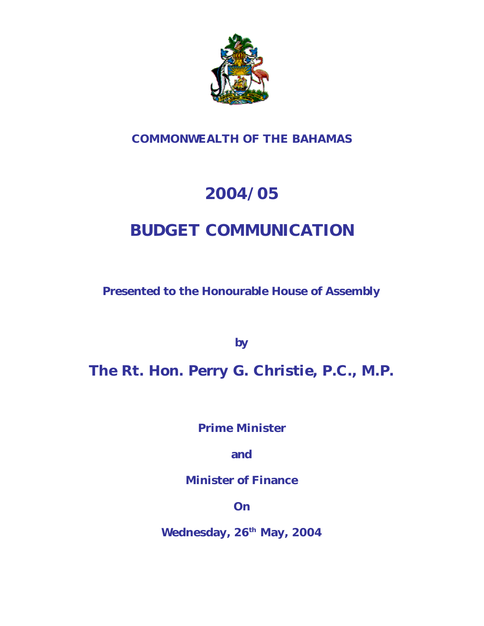

# **COMMONWEALTH OF THE BAHAMAS**

# **2004/05**

# **BUDGET COMMUNICATION**

**Presented to the Honourable House of Assembly**

**by**

**The Rt. Hon. Perry G. Christie, P.C., M.P.**

**Prime Minister**

**and**

**Minister of Finance**

**On**

**Wednesday, 26th May, 2004**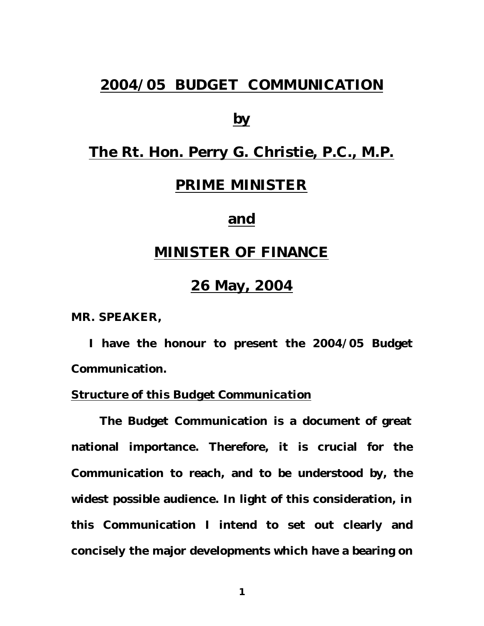# **2004/05 BUDGET COMMUNICATION**

# **by**

# **The Rt. Hon. Perry G. Christie, P.C., M.P.**

# **PRIME MINISTER**

# **and**

# **MINISTER OF FINANCE**

# **26 May, 2004**

**MR. SPEAKER,**

 **I have the honour to present the 2004/05 Budget Communication.**

### *Structure of this Budget Communication*

**The Budget Communication is a document of great national importance. Therefore, it is crucial for the Communication to reach, and to be understood by, the widest possible audience. In light of this consideration, in this Communication I intend to set out clearly and concisely the major developments which have a bearing on**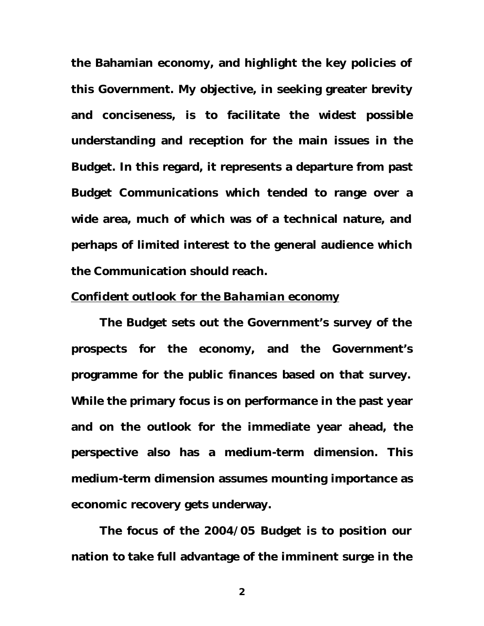**the Bahamian economy, and highlight the key policies of this Government. My objective, in seeking greater brevity and conciseness, is to facilitate the widest possible understanding and reception for the main issues in the Budget. In this regard, it represents a departure from past Budget Communications which tended to range over a wide area, much of which was of a technical nature, and perhaps of limited interest to the general audience which the Communication should reach.**

# *Confident outlook for the Bahamian economy*

**The Budget sets out the Government's survey of the prospects for the economy, and the Government's programme for the public finances based on that survey. While the primary focus is on performance in the past year and on the outlook for the immediate year ahead, the perspective also has a medium-term dimension. This medium-term dimension assumes mounting importance as economic recovery gets underway.** 

**The focus of the 2004/05 Budget is to position our nation to take full advantage of the imminent surge in the**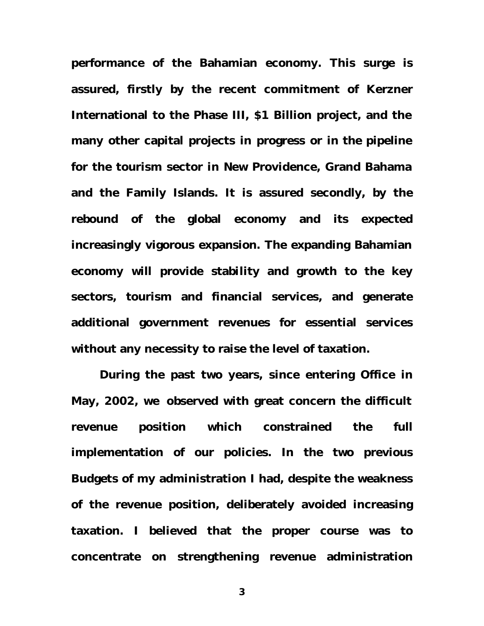**performance of the Bahamian economy. This surge is assured, firstly by the recent commitment of Kerzner International to the Phase III, \$1 Billion project, and the many other capital projects in progress or in the pipeline for the tourism sector in New Providence, Grand Bahama and the Family Islands. It is assured secondly, by the rebound of the global economy and its expected increasingly vigorous expansion. The expanding Bahamian economy will provide stability and growth to the key sectors, tourism and financial services, and generate additional government revenues for essential services without any necessity to raise the level of taxation.**

**During the past two years, since entering Office in May, 2002, we observed with great concern the difficult revenue position which constrained the full implementation of our policies. In the two previous Budgets of my administration I had, despite the weakness of the revenue position, deliberately avoided increasing taxation. I believed that the proper course was to concentrate on strengthening revenue administration**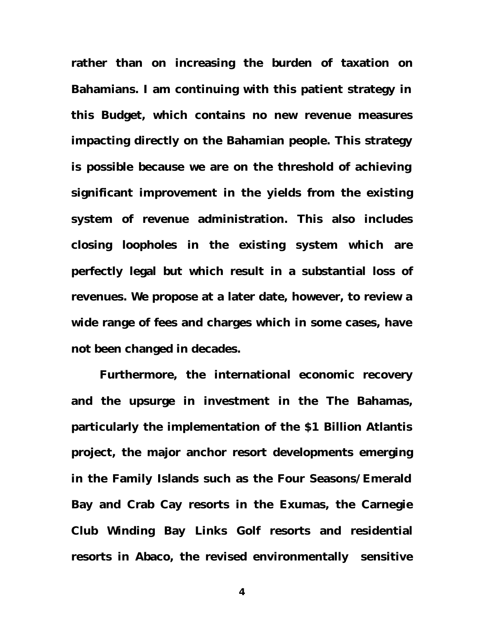**rather than on increasing the burden of taxation on Bahamians. I am continuing with this patient strategy in this Budget, which contains no new revenue measures impacting directly on the Bahamian people. This strategy is possible because we are on the threshold of achieving significant improvement in the yields from the existing system of revenue administration. This also includes closing loopholes in the existing system which are perfectly legal but which result in a substantial loss of revenues. We propose at a later date, however, to review a wide range of fees and charges which in some cases, have not been changed in decades.**

**Furthermore, the international economic recovery and the upsurge in investment in the The Bahamas, particularly the implementation of the \$1 Billion Atlantis project, the major anchor resort developments emerging in the Family Islands such as the Four Seasons/Emerald Bay and Crab Cay resorts in the Exumas, the Carnegie Club Winding Bay Links Golf resorts and residential resorts in Abaco, the revised environmentally sensitive**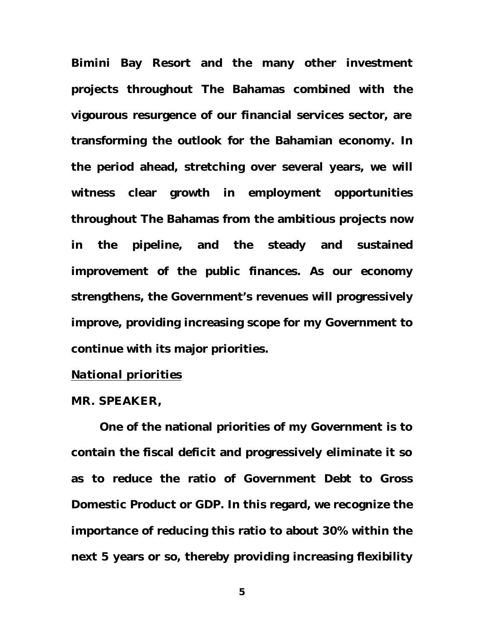**Bimini Bay Resort and the many other investment projects throughout The Bahamas combined with the vigourous resurgence of our financial services sector, are transforming the outlook for the Bahamian economy. In the period ahead, stretching over several years, we will witness clear growth in employment opportunities throughout The Bahamas from the ambitious projects now in the pipeline, and the steady and sustained improvement of the public finances. As our economy strengthens, the Government's revenues will progressively improve, providing increasing scope for my Government to continue with its major priorities.** 

# *National priorities*

## **MR. SPEAKER,**

**One of the national priorities of my Government is to contain the fiscal deficit and progressively eliminate it so as to reduce the ratio of Government Debt to Gross Domestic Product or GDP. In this regard, we recognize the importance of reducing this ratio to about 30% within the next 5 years or so, thereby providing increasing flexibility**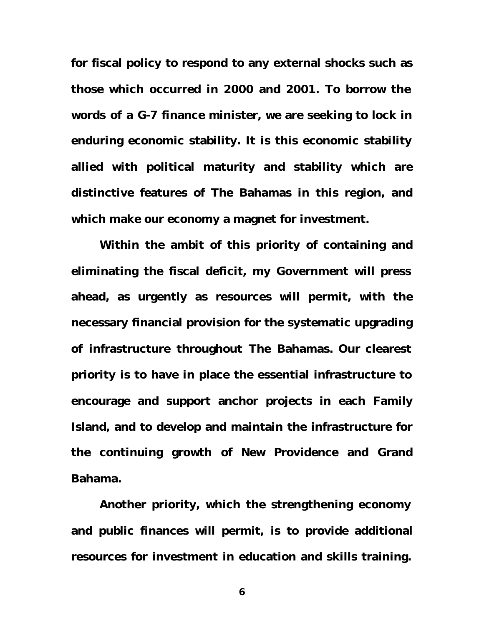**for fiscal policy to respond to any external shocks such as those which occurred in 2000 and 2001. To borrow the words of a G-7 finance minister, we are seeking to lock in enduring economic stability. It is this economic stability allied with political maturity and stability which are distinctive features of The Bahamas in this region, and which make our economy a magnet for investment.** 

**Within the ambit of this priority of containing and eliminating the fiscal deficit, my Government will press ahead, as urgently as resources will permit, with the necessary financial provision for the systematic upgrading of infrastructure throughout The Bahamas. Our clearest priority is to have in place the essential infrastructure to encourage and support anchor projects in each Family Island, and to develop and maintain the infrastructure for the continuing growth of New Providence and Grand Bahama.** 

**Another priority, which the strengthening economy and public finances will permit, is to provide additional resources for investment in education and skills training.**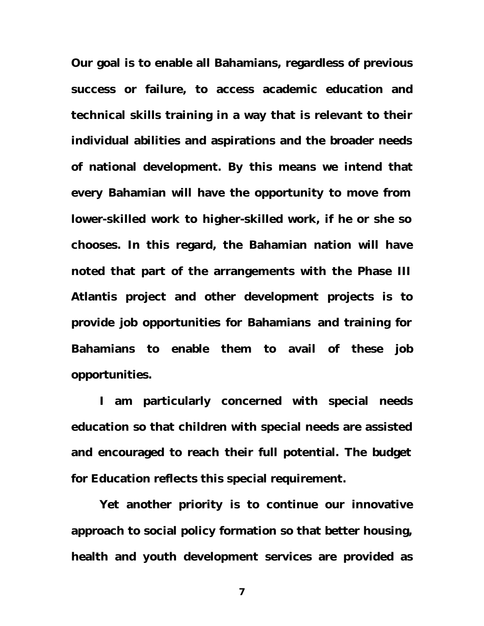**Our goal is to enable all Bahamians, regardless of previous success or failure, to access academic education and technical skills training in a way that is relevant to their individual abilities and aspirations and the broader needs of national development. By this means we intend that every Bahamian will have the opportunity to move from lower-skilled work to higher-skilled work, if he or she so chooses. In this regard, the Bahamian nation will have noted that part of the arrangements with the Phase III Atlantis project and other development projects is to provide job opportunities for Bahamians and training for Bahamians to enable them to avail of these job opportunities.** 

**I am particularly concerned with special needs education so that children with special needs are assisted and encouraged to reach their full potential. The budget for Education reflects this special requirement.** 

**Yet another priority is to continue our innovative approach to social policy formation so that better housing, health and youth development services are provided as**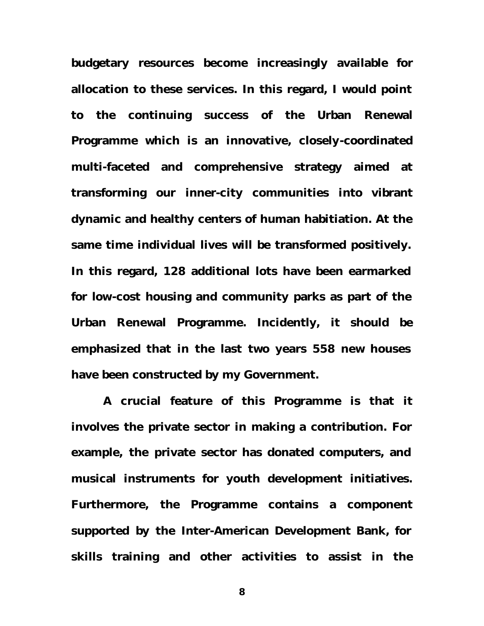**budgetary resources become increasingly available for allocation to these services. In this regard, I would point to the continuing success of the Urban Renewal Programme which is an innovative, closely-coordinated multi-faceted and comprehensive strategy aimed at transforming our inner-city communities into vibrant dynamic and healthy centers of human habitiation. At the same time individual lives will be transformed positively. In this regard, 128 additional lots have been earmarked for low-cost housing and community parks as part of the Urban Renewal Programme. Incidently, it should be emphasized that in the last two years 558 new houses have been constructed by my Government.** 

 **A crucial feature of this Programme is that it involves the private sector in making a contribution. For example, the private sector has donated computers, and musical instruments for youth development initiatives. Furthermore, the Programme contains a component supported by the Inter-American Development Bank, for skills training and other activities to assist in the**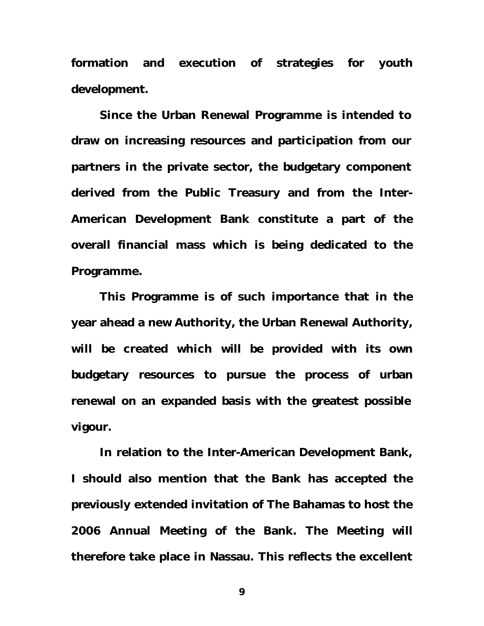**formation and execution of strategies for youth development.** 

**Since the Urban Renewal Programme is intended to draw on increasing resources and participation from our partners in the private sector, the budgetary component derived from the Public Treasury and from the Inter-American Development Bank constitute a part of the overall financial mass which is being dedicated to the Programme.** 

**This Programme is of such importance that in the year ahead a new Authority, the Urban Renewal Authority, will be created which will be provided with its own budgetary resources to pursue the process of urban renewal on an expanded basis with the greatest possible vigour.**

**In relation to the Inter-American Development Bank, I should also mention that the Bank has accepted the previously extended invitation of The Bahamas to host the 2006 Annual Meeting of the Bank. The Meeting will therefore take place in Nassau. This reflects the excellent**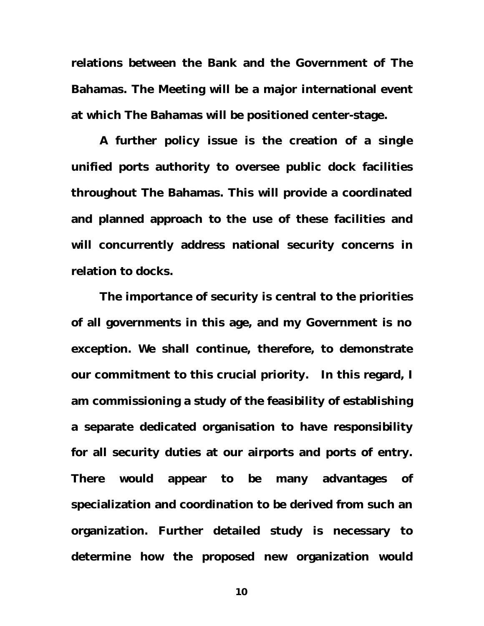**relations between the Bank and the Government of The Bahamas. The Meeting will be a major international event at which The Bahamas will be positioned center-stage.**

**A further policy issue is the creation of a single unified ports authority to oversee public dock facilities throughout The Bahamas. This will provide a coordinated and planned approach to the use of these facilities and will concurrently address national security concerns in relation to docks.**

**The importance of security is central to the priorities of all governments in this age, and my Government is no exception. We shall continue, therefore, to demonstrate our commitment to this crucial priority. In this regard, I am commissioning a study of the feasibility of establishing a separate dedicated organisation to have responsibility for all security duties at our airports and ports of entry. There would appear to be many advantages of specialization and coordination to be derived from such an organization. Further detailed study is necessary to determine how the proposed new organization would**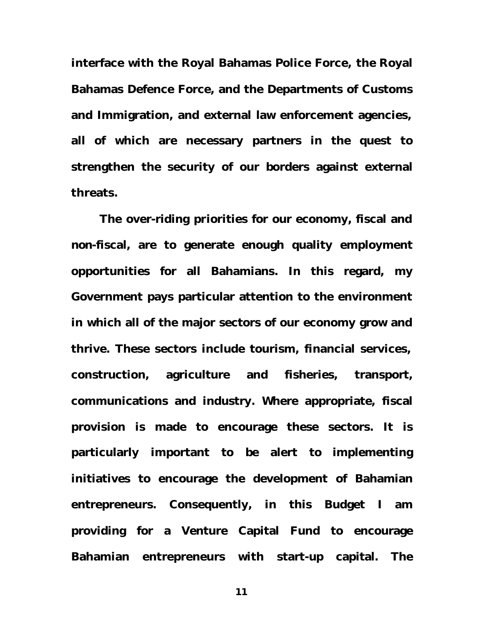**interface with the Royal Bahamas Police Force, the Royal Bahamas Defence Force, and the Departments of Customs and Immigration, and external law enforcement agencies, all of which are necessary partners in the quest to strengthen the security of our borders against external threats.**

**The over-riding priorities for our economy, fiscal and non-fiscal, are to generate enough quality employment opportunities for all Bahamians. In this regard, my Government pays particular attention to the environment in which all of the major sectors of our economy grow and thrive. These sectors include tourism, financial services, construction, agriculture and fisheries, transport, communications and industry. Where appropriate, fiscal provision is made to encourage these sectors. It is particularly important to be alert to implementing initiatives to encourage the development of Bahamian entrepreneurs. Consequently, in this Budget I am providing for a Venture Capital Fund to encourage Bahamian entrepreneurs with start-up capital. The**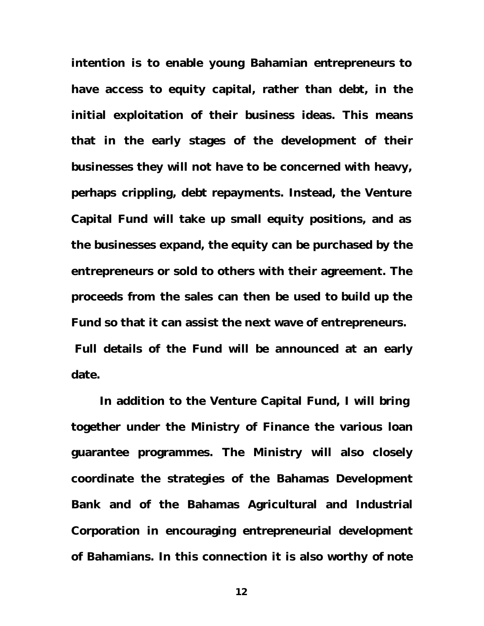**intention is to enable young Bahamian entrepreneurs to have access to equity capital, rather than debt, in the initial exploitation of their business ideas. This means that in the early stages of the development of their businesses they will not have to be concerned with heavy, perhaps crippling, debt repayments. Instead, the Venture Capital Fund will take up small equity positions, and as the businesses expand, the equity can be purchased by the entrepreneurs or sold to others with their agreement. The proceeds from the sales can then be used to build up the Fund so that it can assist the next wave of entrepreneurs. Full details of the Fund will be announced at an early date.**

**In addition to the Venture Capital Fund, I will bring together under the Ministry of Finance the various loan guarantee programmes. The Ministry will also closely coordinate the strategies of the Bahamas Development Bank and of the Bahamas Agricultural and Industrial Corporation in encouraging entrepreneurial development of Bahamians. In this connection it is also worthy of note**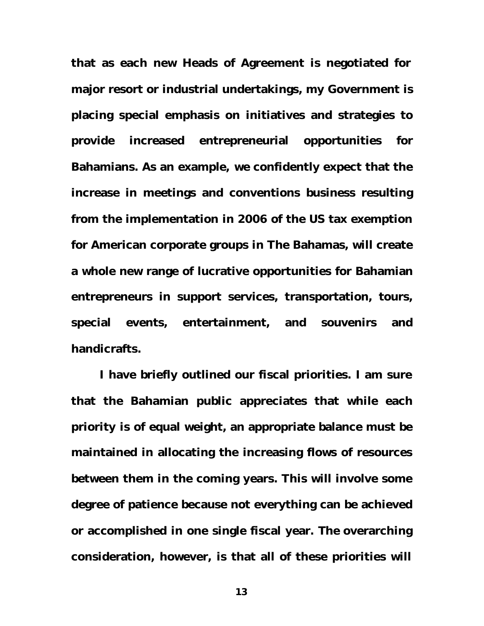**that as each new Heads of Agreement is negotiated for major resort or industrial undertakings, my Government is placing special emphasis on initiatives and strategies to provide increased entrepreneurial opportunities for Bahamians. As an example, we confidently expect that the increase in meetings and conventions business resulting from the implementation in 2006 of the US tax exemption for American corporate groups in The Bahamas, will create a whole new range of lucrative opportunities for Bahamian entrepreneurs in support services, transportation, tours, special events, entertainment, and souvenirs and handicrafts.** 

**I have briefly outlined our fiscal priorities. I am sure that the Bahamian public appreciates that while each priority is of equal weight, an appropriate balance must be maintained in allocating the increasing flows of resources between them in the coming years. This will involve some degree of patience because not everything can be achieved or accomplished in one single fiscal year. The overarching consideration, however, is that all of these priorities will**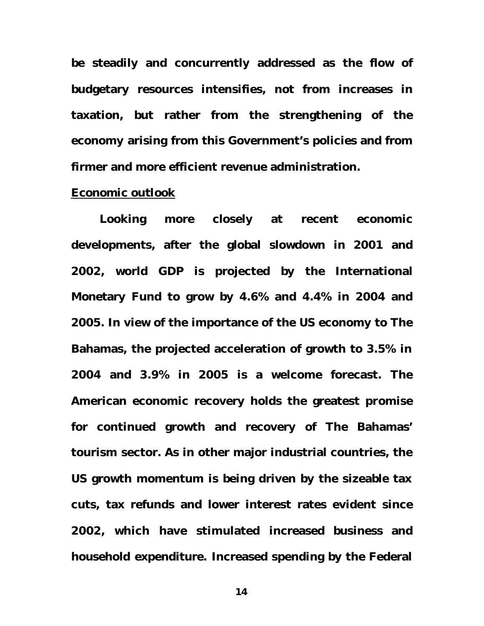**be steadily and concurrently addressed as the flow of budgetary resources intensifies, not from increases in taxation, but rather from the strengthening of the economy arising from this Government's policies and from firmer and more efficient revenue administration.** 

### *Economic outlook*

**Looking more closely at recent economic developments, after the global slowdown in 2001 and 2002, world GDP is projected by the International Monetary Fund to grow by 4.6% and 4.4% in 2004 and 2005. In view of the importance of the US economy to The Bahamas, the projected acceleration of growth to 3.5% in 2004 and 3.9% in 2005 is a welcome forecast. The American economic recovery holds the greatest promise for continued growth and recovery of The Bahamas' tourism sector. As in other major industrial countries, the US growth momentum is being driven by the sizeable tax cuts, tax refunds and lower interest rates evident since 2002, which have stimulated increased business and household expenditure. Increased spending by the Federal**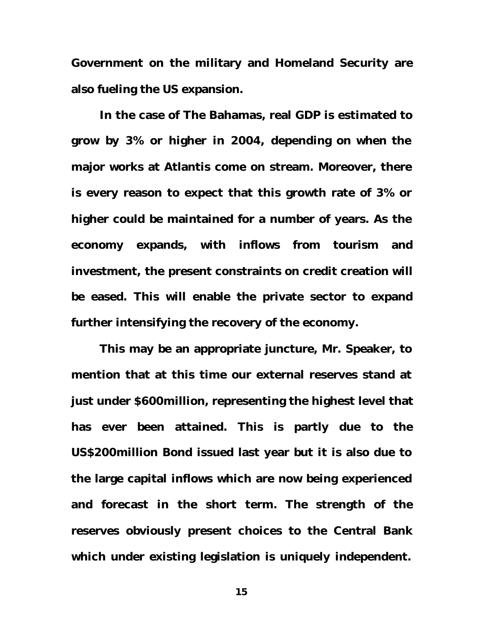**Government on the military and Homeland Security are also fueling the US expansion.**

**In the case of The Bahamas, real GDP is estimated to grow by 3% or higher in 2004, depending on when the major works at Atlantis come on stream. Moreover, there is every reason to expect that this growth rate of 3% or higher could be maintained for a number of years. As the economy expands, with inflows from tourism and investment, the present constraints on credit creation will be eased. This will enable the private sector to expand further intensifying the recovery of the economy.** 

**This may be an appropriate juncture, Mr. Speaker, to mention that at this time our external reserves stand at just under \$600million, representing the highest level that has ever been attained. This is partly due to the US\$200million Bond issued last year but it is also due to the large capital inflows which are now being experienced and forecast in the short term. The strength of the reserves obviously present choices to the Central Bank which under existing legislation is uniquely independent.**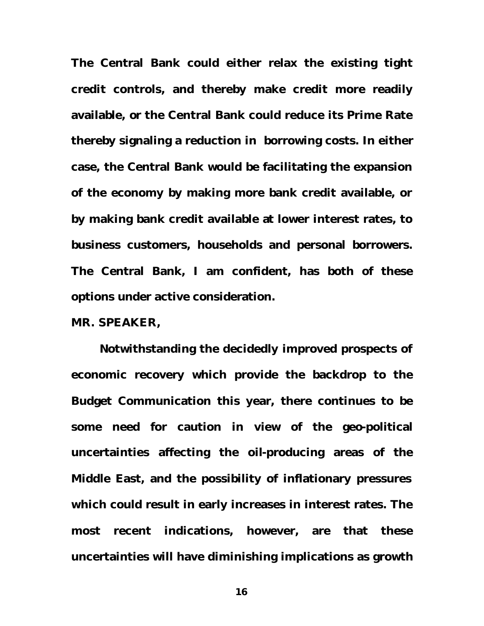**The Central Bank could either relax the existing tight credit controls, and thereby make credit more readily available, or the Central Bank could reduce its Prime Rate thereby signaling a reduction in borrowing costs. In either case, the Central Bank would be facilitating the expansion of the economy by making more bank credit available, or by making bank credit available at lower interest rates, to business customers, households and personal borrowers. The Central Bank, I am confident, has both of these options under active consideration.** 

**MR. SPEAKER,** 

**Notwithstanding the decidedly improved prospects of economic recovery which provide the backdrop to the Budget Communication this year, there continues to be some need for caution in view of the geo-political uncertainties affecting the oil-producing areas of the Middle East, and the possibility of inflationary pressures which could result in early increases in interest rates. The most recent indications, however, are that these uncertainties will have diminishing implications as growth**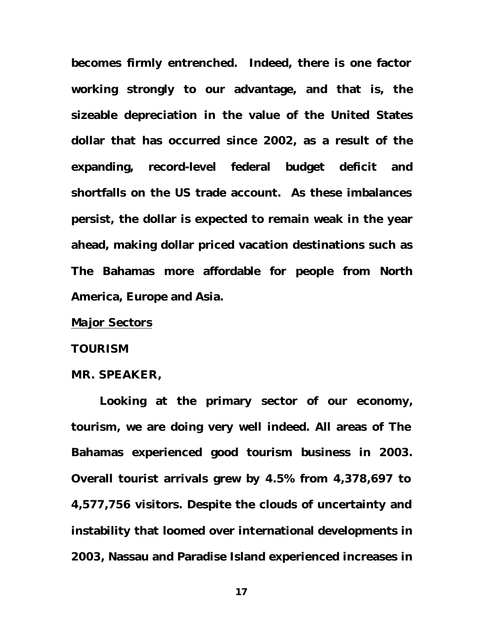**becomes firmly entrenched. Indeed, there is one factor working strongly to our advantage, and that is, the sizeable depreciation in the value of the United States dollar that has occurred since 2002, as a result of the expanding, record-level federal budget deficit and shortfalls on the US trade account. As these imbalances persist, the dollar is expected to remain weak in the year ahead, making dollar priced vacation destinations such as The Bahamas more affordable for people from North America, Europe and Asia.**

# *Major Sectors*

#### **TOURISM**

#### **MR. SPEAKER,**

**Looking at the primary sector of our economy, tourism, we are doing very well indeed. All areas of The Bahamas experienced good tourism business in 2003. Overall tourist arrivals grew by 4.5% from 4,378,697 to 4,577,756 visitors. Despite the clouds of uncertainty and instability that loomed over international developments in 2003, Nassau and Paradise Island experienced increases in**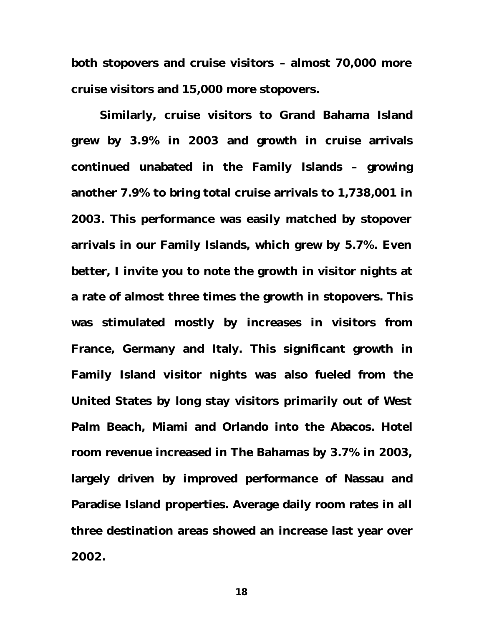**both stopovers and cruise visitors – almost 70,000 more cruise visitors and 15,000 more stopovers.**

**Similarly, cruise visitors to Grand Bahama Island grew by 3.9% in 2003 and growth in cruise arrivals continued unabated in the Family Islands – growing another 7.9% to bring total cruise arrivals to 1,738,001 in 2003. This performance was easily matched by stopover arrivals in our Family Islands, which grew by 5.7%. Even better, I invite you to note the growth in visitor nights at a rate of almost three times the growth in stopovers. This was stimulated mostly by increases in visitors from France, Germany and Italy. This significant growth in Family Island visitor nights was also fueled from the United States by long stay visitors primarily out of West Palm Beach, Miami and Orlando into the Abacos. Hotel room revenue increased in The Bahamas by 3.7% in 2003, largely driven by improved performance of Nassau and Paradise Island properties. Average daily room rates in all three destination areas showed an increase last year over 2002.**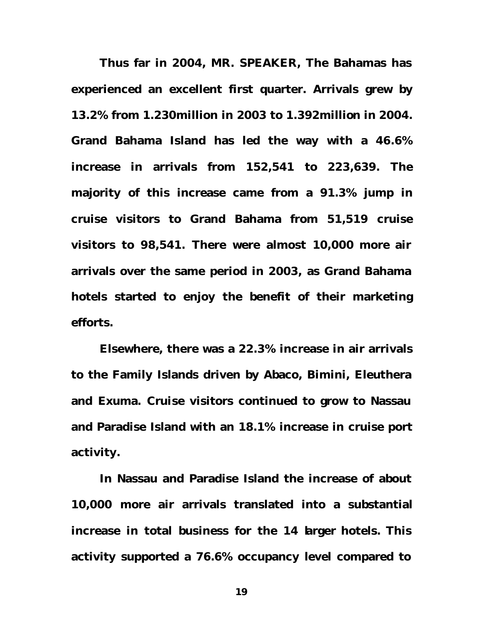**Thus far in 2004, MR. SPEAKER, The Bahamas has experienced an excellent first quarter. Arrivals grew by 13.2% from 1.230million in 2003 to 1.392million in 2004. Grand Bahama Island has led the way with a 46.6% increase in arrivals from 152,541 to 223,639. The majority of this increase came from a 91.3% jump in cruise visitors to Grand Bahama from 51,519 cruise visitors to 98,541. There were almost 10,000 more air arrivals over the same period in 2003, as Grand Bahama hotels started to enjoy the benefit of their marketing efforts.**

**Elsewhere, there was a 22.3% increase in air arrivals to the Family Islands driven by Abaco, Bimini, Eleuthera and Exuma. Cruise visitors continued to grow to Nassau and Paradise Island with an 18.1% increase in cruise port activity.** 

**In Nassau and Paradise Island the increase of about 10,000 more air arrivals translated into a substantial increase in total business for the 14 larger hotels. This activity supported a 76.6% occupancy level compared to**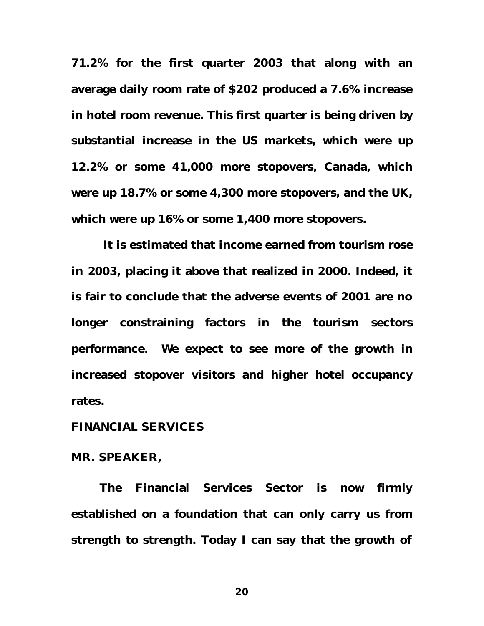**71.2% for the first quarter 2003 that along with an average daily room rate of \$202 produced a 7.6% increase in hotel room revenue. This first quarter is being driven by substantial increase in the US markets, which were up 12.2% or some 41,000 more stopovers, Canada, which were up 18.7% or some 4,300 more stopovers, and the UK, which were up 16% or some 1,400 more stopovers.** 

 **It is estimated that income earned from tourism rose in 2003, placing it above that realized in 2000. Indeed, it is fair to conclude that the adverse events of 2001 are no longer constraining factors in the tourism sectors performance. We expect to see more of the growth in increased stopover visitors and higher hotel occupancy rates.** 

# **FINANCIAL SERVICES**

#### **MR. SPEAKER,**

**The Financial Services Sector is now firmly established on a foundation that can only carry us from strength to strength. Today I can say that the growth of**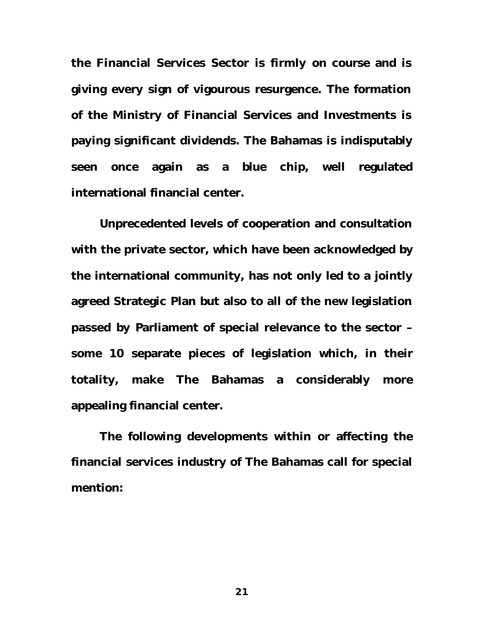**the Financial Services Sector is firmly on course and is giving every sign of vigourous resurgence. The formation of the Ministry of Financial Services and Investments is paying significant dividends. The Bahamas is indisputably seen once again as a blue chip, well regulated international financial center.** 

**Unprecedented levels of cooperation and consultation with the private sector, which have been acknowledged by the international community, has not only led to a jointly agreed Strategic Plan but also to all of the new legislation passed by Parliament of special relevance to the sector – some 10 separate pieces of legislation which, in their totality, make The Bahamas a considerably more appealing financial center.** 

**The following developments within or affecting the financial services industry of The Bahamas call for special mention:**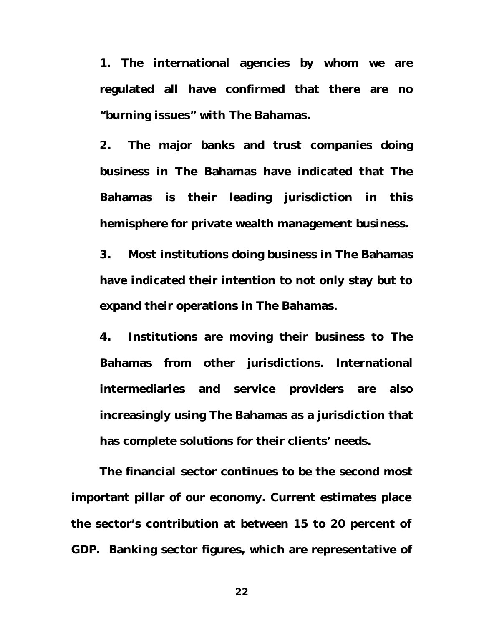**1. The international agencies by whom we are regulated all have confirmed that there are no "burning issues" with The Bahamas.**

**2. The major banks and trust companies doing business in The Bahamas have indicated that The Bahamas is their leading jurisdiction in this hemisphere for private wealth management business.** 

**3. Most institutions doing business in The Bahamas have indicated their intention to not only stay but to expand their operations in The Bahamas.**

**4. Institutions are moving their business to The Bahamas from other jurisdictions. International intermediaries and service providers are also increasingly using The Bahamas as a jurisdiction that has complete solutions for their clients' needs.**

**The financial sector continues to be the second most important pillar of our economy. Current estimates place the sector's contribution at between 15 to 20 percent of GDP. Banking sector figures, which are representative of**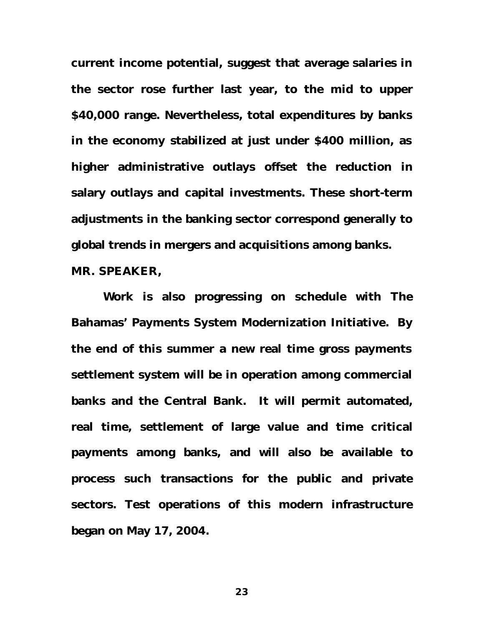**current income potential, suggest that average salaries in the sector rose further last year, to the mid to upper \$40,000 range. Nevertheless, total expenditures by banks in the economy stabilized at just under \$400 million, as higher administrative outlays offset the reduction in salary outlays and capital investments. These short-term adjustments in the banking sector correspond generally to global trends in mergers and acquisitions among banks. MR. SPEAKER,**

**Work is also progressing on schedule with The Bahamas' Payments System Modernization Initiative. By the end of this summer a new real time gross payments settlement system will be in operation among commercial banks and the Central Bank. It will permit automated, real time, settlement of large value and time critical payments among banks, and will also be available to process such transactions for the public and private sectors. Test operations of this modern infrastructure began on May 17, 2004.**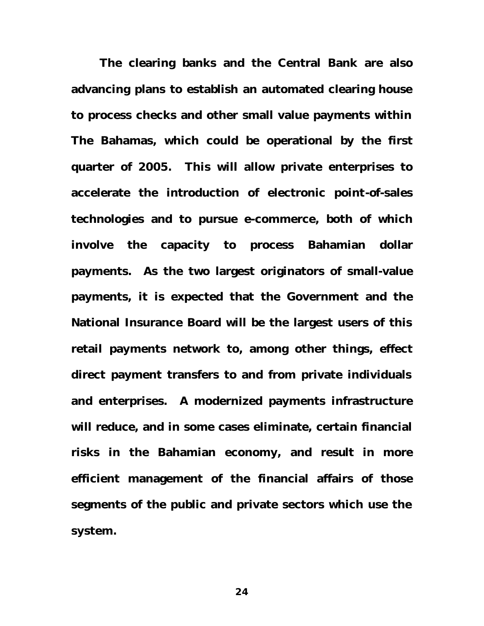**The clearing banks and the Central Bank are also advancing plans to establish an automated clearing house to process checks and other small value payments within The Bahamas, which could be operational by the first quarter of 2005. This will allow private enterprises to accelerate the introduction of electronic point-of-sales technologies and to pursue e-commerce, both of which involve the capacity to process Bahamian dollar payments. As the two largest originators of small-value payments, it is expected that the Government and the National Insurance Board will be the largest users of this retail payments network to, among other things, effect direct payment transfers to and from private individuals and enterprises. A modernized payments infrastructure will reduce, and in some cases eliminate, certain financial risks in the Bahamian economy, and result in more efficient management of the financial affairs of those segments of the public and private sectors which use the system.**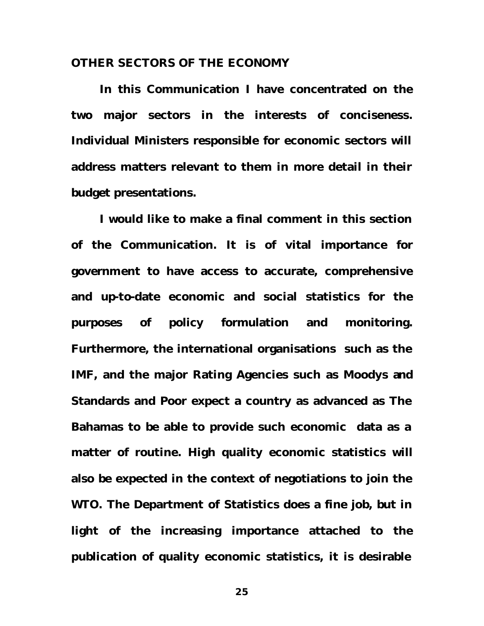## **OTHER SECTORS OF THE ECONOMY**

**In this Communication I have concentrated on the two major sectors in the interests of conciseness. Individual Ministers responsible for economic sectors will address matters relevant to them in more detail in their budget presentations.** 

**I would like to make a final comment in this section of the Communication. It is of vital importance for government to have access to accurate, comprehensive and up-to-date economic and social statistics for the purposes of policy formulation and monitoring. Furthermore, the international organisations such as the IMF, and the major Rating Agencies such as Moodys and Standards and Poor expect a country as advanced as The Bahamas to be able to provide such economic data as a matter of routine. High quality economic statistics will also be expected in the context of negotiations to join the WTO. The Department of Statistics does a fine job, but in light of the increasing importance attached to the publication of quality economic statistics, it is desirable**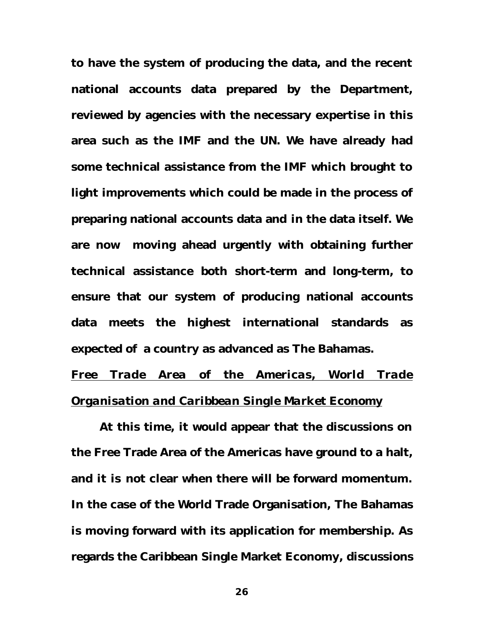**to have the system of producing the data, and the recent national accounts data prepared by the Department, reviewed by agencies with the necessary expertise in this area such as the IMF and the UN. We have already had some technical assistance from the IMF which brought to light improvements which could be made in the process of preparing national accounts data and in the data itself. We are now moving ahead urgently with obtaining further technical assistance both short-term and long-term, to ensure that our system of producing national accounts data meets the highest international standards as expected of a country as advanced as The Bahamas.** 

*Free Trade Area of the Americas, World Trade Organisation and Caribbean Single Market Economy*

**At this time, it would appear that the discussions on the Free Trade Area of the Americas have ground to a halt, and it is not clear when there will be forward momentum. In the case of the World Trade Organisation, The Bahamas is moving forward with its application for membership. As regards the Caribbean Single Market Economy, discussions**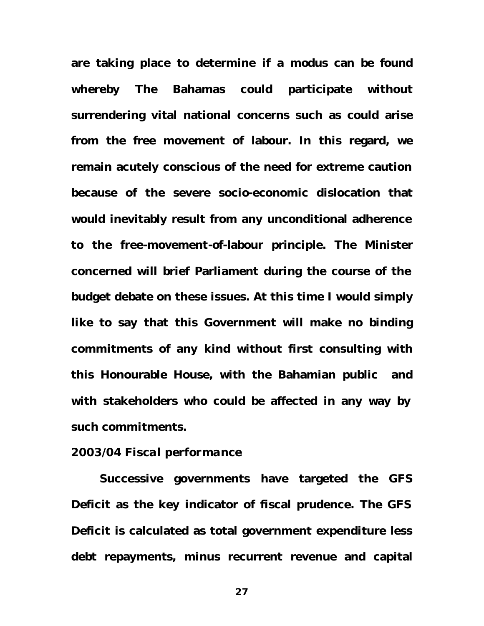**are taking place to determine if a modus can be found whereby The Bahamas could participate without surrendering vital national concerns such as could arise from the free movement of labour. In this regard, we remain acutely conscious of the need for extreme caution because of the severe socio-economic dislocation that would inevitably result from any unconditional adherence to the free-movement-of-labour principle. The Minister concerned will brief Parliament during the course of the budget debate on these issues. At this time I would simply like to say that this Government will make no binding commitments of any kind without first consulting with this Honourable House, with the Bahamian public and with stakeholders who could be affected in any way by such commitments.** 

# *2003/04 Fiscal performance*

**Successive governments have targeted the GFS Deficit as the key indicator of fiscal prudence. The GFS Deficit is calculated as total government expenditure less debt repayments, minus recurrent revenue and capital**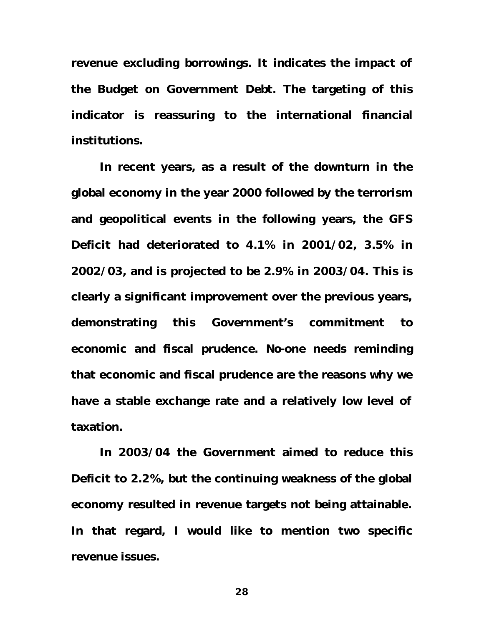**revenue excluding borrowings. It indicates the impact of the Budget on Government Debt. The targeting of this indicator is reassuring to the international financial institutions.** 

**In recent years, as a result of the downturn in the global economy in the year 2000 followed by the terrorism and geopolitical events in the following years, the GFS Deficit had deteriorated to 4.1% in 2001/02, 3.5% in 2002/03, and is projected to be 2.9% in 2003/04. This is clearly a significant improvement over the previous years, demonstrating this Government's commitment to economic and fiscal prudence. No-one needs reminding that economic and fiscal prudence are the reasons why we have a stable exchange rate and a relatively low level of taxation.** 

**In 2003/04 the Government aimed to reduce this Deficit to 2.2%, but the continuing weakness of the global economy resulted in revenue targets not being attainable. In that regard, I would like to mention two specific revenue issues.**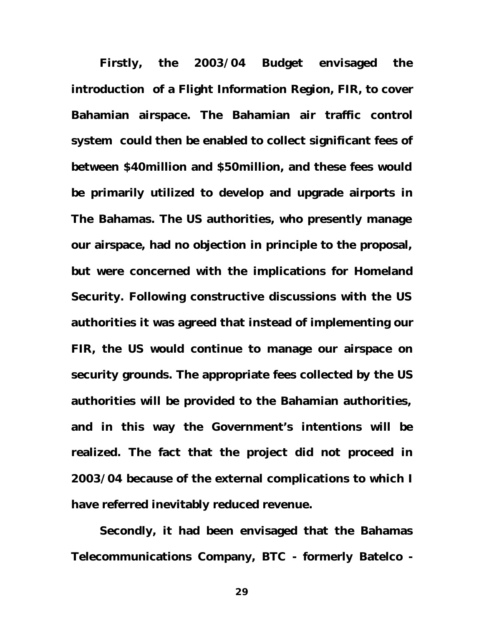**Firstly, the 2003/04 Budget envisaged the introduction of a Flight Information Region, FIR, to cover Bahamian airspace. The Bahamian air traffic control system could then be enabled to collect significant fees of between \$40million and \$50million, and these fees would be primarily utilized to develop and upgrade airports in The Bahamas. The US authorities, who presently manage our airspace, had no objection in principle to the proposal, but were concerned with the implications for Homeland Security. Following constructive discussions with the US authorities it was agreed that instead of implementing our FIR, the US would continue to manage our airspace on security grounds. The appropriate fees collected by the US authorities will be provided to the Bahamian authorities, and in this way the Government's intentions will be realized. The fact that the project did not proceed in 2003/04 because of the external complications to which I have referred inevitably reduced revenue.**

**Secondly, it had been envisaged that the Bahamas Telecommunications Company, BTC - formerly Batelco -**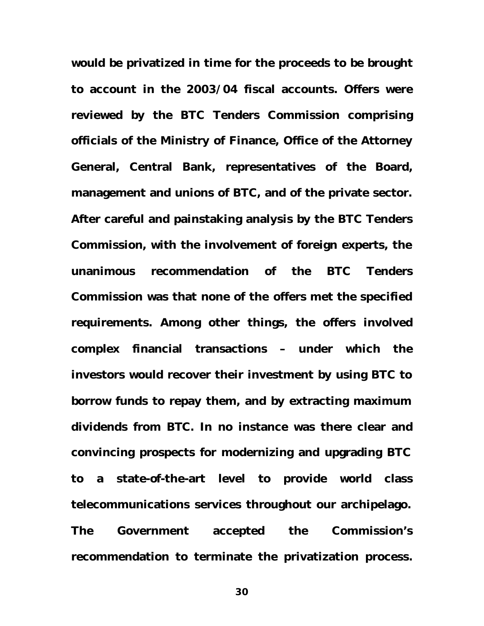**would be privatized in time for the proceeds to be brought to account in the 2003/04 fiscal accounts. Offers were reviewed by the BTC Tenders Commission comprising officials of the Ministry of Finance, Office of the Attorney General, Central Bank, representatives of the Board, management and unions of BTC, and of the private sector. After careful and painstaking analysis by the BTC Tenders Commission, with the involvement of foreign experts, the unanimous recommendation of the BTC Tenders Commission was that none of the offers met the specified requirements. Among other things, the offers involved complex financial transactions – under which the investors would recover their investment by using BTC to borrow funds to repay them, and by extracting maximum dividends from BTC. In no instance was there clear and convincing prospects for modernizing and upgrading BTC to a state-of-the-art level to provide world class telecommunications services throughout our archipelago. The Government accepted the Commission's recommendation to terminate the privatization process.**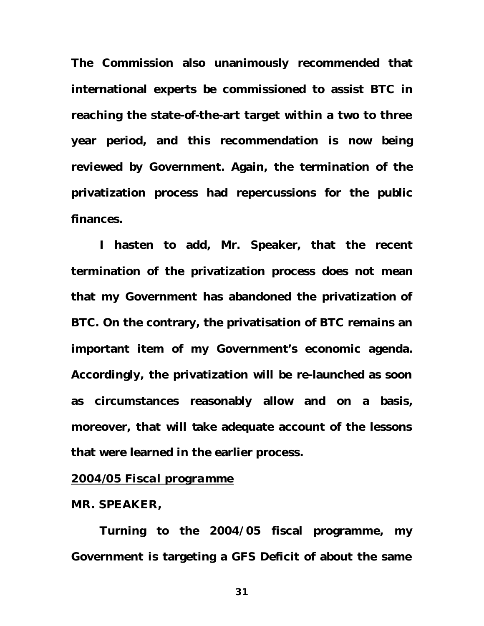**The Commission also unanimously recommended that international experts be commissioned to assist BTC in reaching the state-of-the-art target within a two to three year period, and this recommendation is now being reviewed by Government. Again, the termination of the privatization process had repercussions for the public finances.** 

**I hasten to add, Mr. Speaker, that the recent termination of the privatization process does not mean that my Government has abandoned the privatization of BTC. On the contrary, the privatisation of BTC remains an important item of my Government's economic agenda. Accordingly, the privatization will be re-launched as soon as circumstances reasonably allow and on a basis, moreover, that will take adequate account of the lessons that were learned in the earlier process.** 

# *2004/05 Fiscal programme*

### **MR. SPEAKER,**

**Turning to the 2004/05 fiscal programme, my Government is targeting a GFS Deficit of about the same**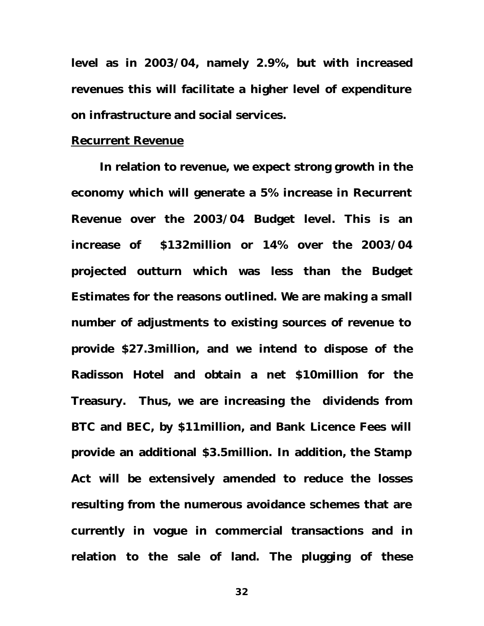**level as in 2003/04, namely 2.9%, but with increased revenues this will facilitate a higher level of expenditure on infrastructure and social services.**

## **Recurrent Revenue**

**In relation to revenue, we expect strong growth in the economy which will generate a 5% increase in Recurrent Revenue over the 2003/04 Budget level. This is an increase of \$132million or 14% over the 2003/04 projected outturn which was less than the Budget Estimates for the reasons outlined. We are making a small number of adjustments to existing sources of revenue to provide \$27.3million, and we intend to dispose of the Radisson Hotel and obtain a net \$10million for the Treasury. Thus, we are increasing the dividends from BTC and BEC, by \$11million, and Bank Licence Fees will provide an additional \$3.5million. In addition, the Stamp Act will be extensively amended to reduce the losses resulting from the numerous avoidance schemes that are currently in vogue in commercial transactions and in relation to the sale of land. The plugging of these**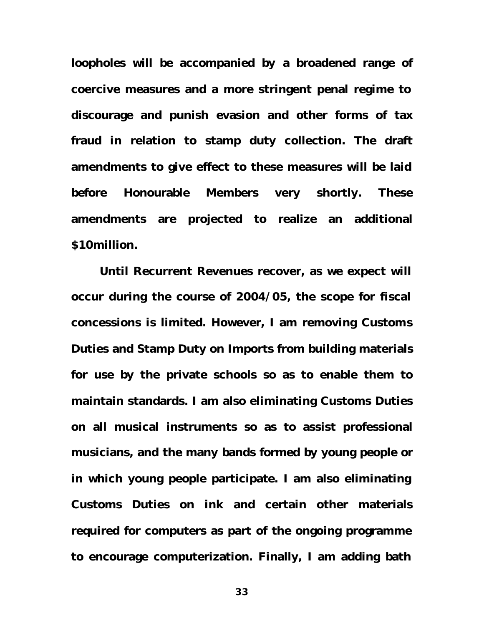**loopholes will be accompanied by a broadened range of coercive measures and a more stringent penal regime to discourage and punish evasion and other forms of tax fraud in relation to stamp duty collection. The draft amendments to give effect to these measures will be laid before Honourable Members very shortly. These amendments are projected to realize an additional \$10million.** 

**Until Recurrent Revenues recover, as we expect will occur during the course of 2004/05, the scope for fiscal concessions is limited. However, I am removing Customs Duties and Stamp Duty on Imports from building materials for use by the private schools so as to enable them to maintain standards. I am also eliminating Customs Duties on all musical instruments so as to assist professional musicians, and the many bands formed by young people or in which young people participate. I am also eliminating Customs Duties on ink and certain other materials required for computers as part of the ongoing programme to encourage computerization. Finally, I am adding bath**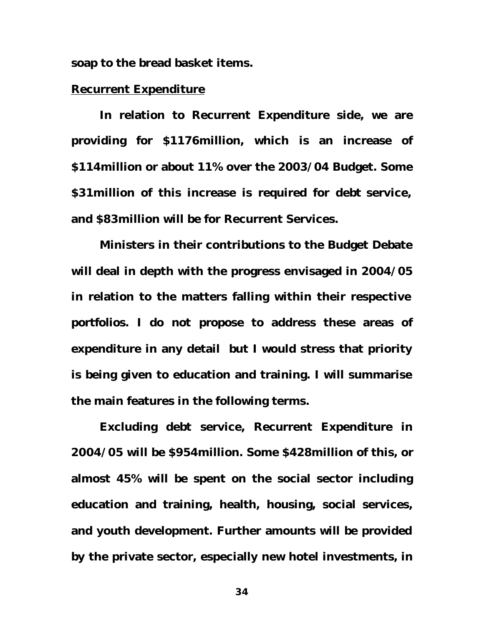**soap to the bread basket items.** 

# **Recurrent Expenditure**

**In relation to Recurrent Expenditure side, we are providing for \$1176million, which is an increase of \$114million or about 11% over the 2003/04 Budget. Some \$31million of this increase is required for debt service, and \$83million will be for Recurrent Services.** 

**Ministers in their contributions to the Budget Debate will deal in depth with the progress envisaged in 2004/05 in relation to the matters falling within their respective portfolios. I do not propose to address these areas of expenditure in any detail but I would stress that priority is being given to education and training. I will summarise the main features in the following terms.**

**Excluding debt service, Recurrent Expenditure in 2004/05 will be \$954million. Some \$428million of this, or almost 45% will be spent on the social sector including education and training, health, housing, social services, and youth development. Further amounts will be provided by the private sector, especially new hotel investments, in**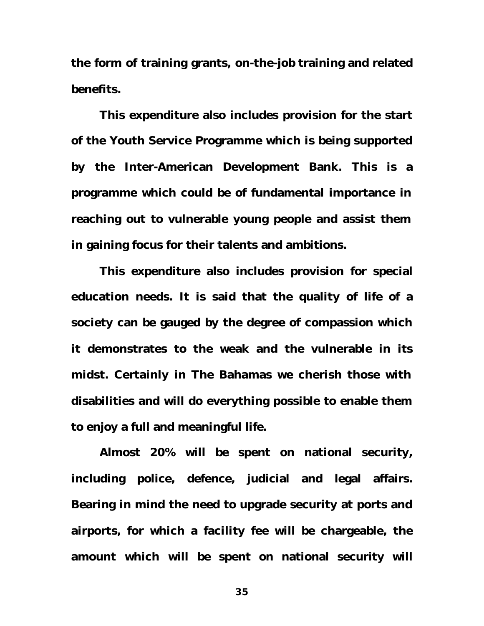**the form of training grants, on-the-job training and related benefits.** 

**This expenditure also includes provision for the start of the Youth Service Programme which is being supported by the Inter-American Development Bank. This is a programme which could be of fundamental importance in reaching out to vulnerable young people and assist them in gaining focus for their talents and ambitions.** 

**This expenditure also includes provision for special education needs. It is said that the quality of life of a society can be gauged by the degree of compassion which it demonstrates to the weak and the vulnerable in its midst. Certainly in The Bahamas we cherish those with disabilities and will do everything possible to enable them to enjoy a full and meaningful life.**

**Almost 20% will be spent on national security, including police, defence, judicial and legal affairs. Bearing in mind the need to upgrade security at ports and airports, for which a facility fee will be chargeable, the amount which will be spent on national security will**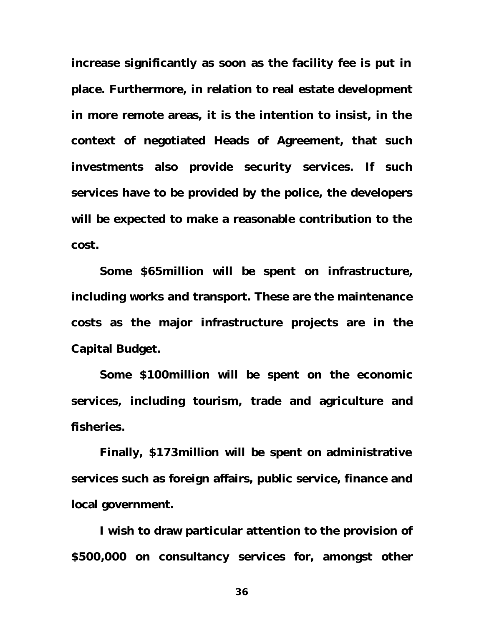**increase significantly as soon as the facility fee is put in place. Furthermore, in relation to real estate development in more remote areas, it is the intention to insist, in the context of negotiated Heads of Agreement, that such investments also provide security services. If such services have to be provided by the police, the developers will be expected to make a reasonable contribution to the cost.** 

**Some \$65million will be spent on infrastructure, including works and transport. These are the maintenance costs as the major infrastructure projects are in the Capital Budget.**

**Some \$100million will be spent on the economic services, including tourism, trade and agriculture and fisheries.** 

**Finally, \$173million will be spent on administrative services such as foreign affairs, public service, finance and local government.** 

**I wish to draw particular attention to the provision of \$500,000 on consultancy services for, amongst other**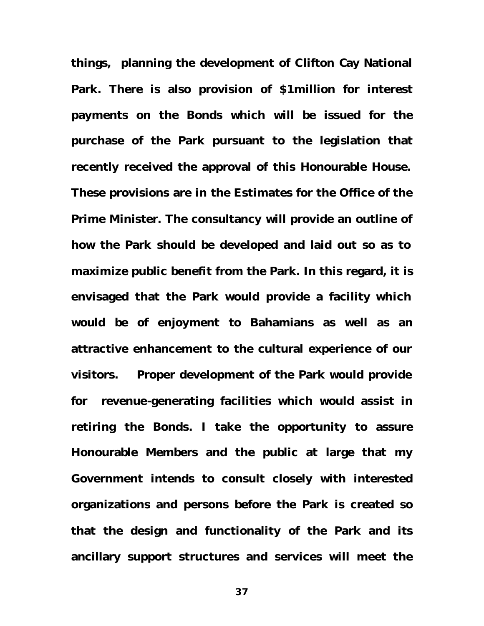**things, planning the development of Clifton Cay National Park. There is also provision of \$1million for interest payments on the Bonds which will be issued for the purchase of the Park pursuant to the legislation that recently received the approval of this Honourable House. These provisions are in the Estimates for the Office of the Prime Minister. The consultancy will provide an outline of how the Park should be developed and laid out so as to maximize public benefit from the Park. In this regard, it is envisaged that the Park would provide a facility which would be of enjoyment to Bahamians as well as an attractive enhancement to the cultural experience of our visitors. Proper development of the Park would provide for revenue-generating facilities which would assist in retiring the Bonds. I take the opportunity to assure Honourable Members and the public at large that my Government intends to consult closely with interested organizations and persons before the Park is created so that the design and functionality of the Park and its ancillary support structures and services will meet the**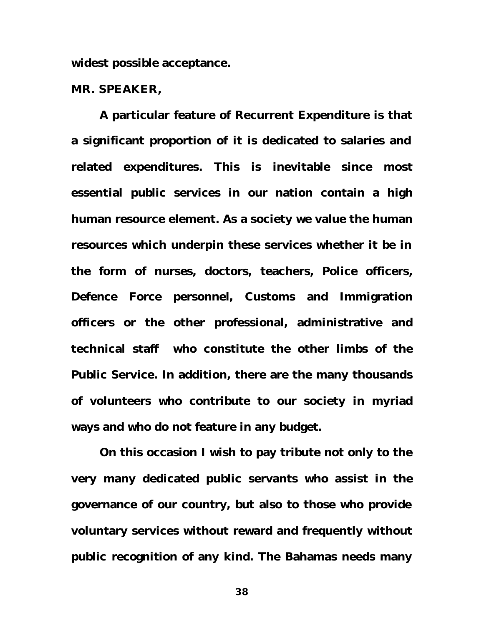**widest possible acceptance.** 

### **MR. SPEAKER,**

**A particular feature of Recurrent Expenditure is that a significant proportion of it is dedicated to salaries and related expenditures. This is inevitable since most essential public services in our nation contain a high human resource element. As a society we value the human resources which underpin these services whether it be in the form of nurses, doctors, teachers, Police officers, Defence Force personnel, Customs and Immigration officers or the other professional, administrative and technical staff who constitute the other limbs of the Public Service. In addition, there are the many thousands of volunteers who contribute to our society in myriad ways and who do not feature in any budget.** 

**On this occasion I wish to pay tribute not only to the very many dedicated public servants who assist in the governance of our country, but also to those who provide voluntary services without reward and frequently without public recognition of any kind. The Bahamas needs many**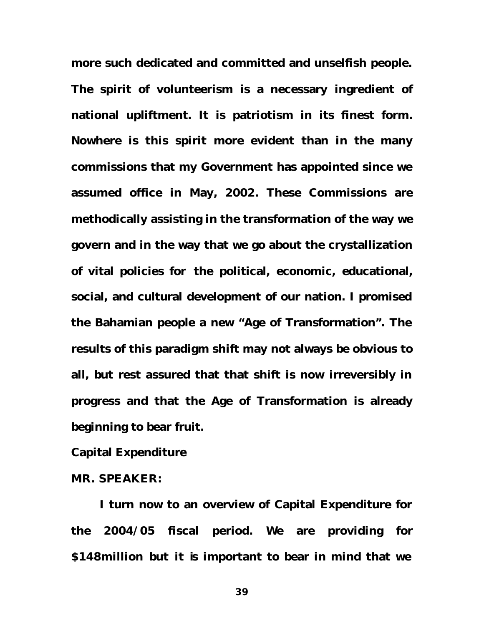**more such dedicated and committed and unselfish people. The spirit of volunteerism is a necessary ingredient of national upliftment. It is patriotism in its finest form. Nowhere is this spirit more evident than in the many commissions that my Government has appointed since we assumed office in May, 2002. These Commissions are methodically assisting in the transformation of the way we govern and in the way that we go about the crystallization of vital policies for the political, economic, educational, social, and cultural development of our nation. I promised the Bahamian people a new "Age of Transformation". The results of this paradigm shift may not always be obvious to all, but rest assured that that shift is now irreversibly in progress and that the Age of Transformation is already beginning to bear fruit.** 

# **Capital Expenditure**

## **MR. SPEAKER:**

**I turn now to an overview of Capital Expenditure for the 2004/05 fiscal period. We are providing for \$148million but it is important to bear in mind that we**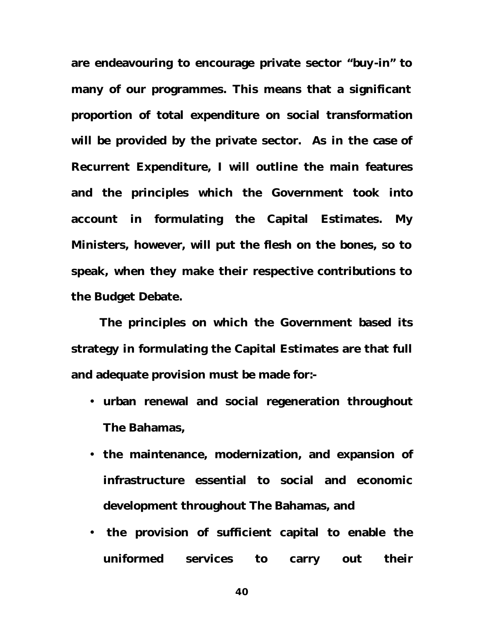**are endeavouring to encourage private sector "buy-in" to many of our programmes. This means that a significant proportion of total expenditure on social transformation will be provided by the private sector. As in the case of Recurrent Expenditure, I will outline the main features and the principles which the Government took into account in formulating the Capital Estimates. My Ministers, however, will put the flesh on the bones, so to speak, when they make their respective contributions to the Budget Debate.**

**The principles on which the Government based its strategy in formulating the Capital Estimates are that full and adequate provision must be made for:-**

- **urban renewal and social regeneration throughout The Bahamas,**
- **the maintenance, modernization, and expansion of infrastructure essential to social and economic development throughout The Bahamas, and**
- • **the provision of sufficient capital to enable the uniformed services to carry out their**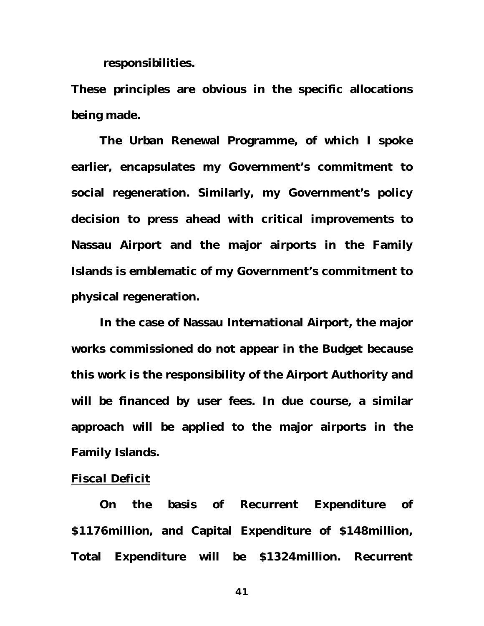**responsibilities.** 

**These principles are obvious in the specific allocations being made.** 

**The Urban Renewal Programme, of which I spoke earlier, encapsulates my Government's commitment to social regeneration. Similarly, my Government's policy decision to press ahead with critical improvements to Nassau Airport and the major airports in the Family Islands is emblematic of my Government's commitment to physical regeneration.** 

**In the case of Nassau International Airport, the major works commissioned do not appear in the Budget because this work is the responsibility of the Airport Authority and will be financed by user fees. In due course, a similar approach will be applied to the major airports in the Family Islands.** 

### *Fiscal Deficit*

**On the basis of Recurrent Expenditure of \$1176million, and Capital Expenditure of \$148million, Total Expenditure will be \$1324million. Recurrent**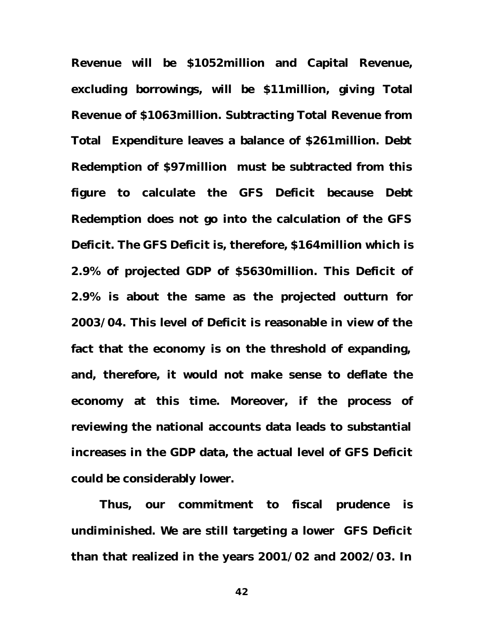**Revenue will be \$1052million and Capital Revenue, excluding borrowings, will be \$11million, giving Total Revenue of \$1063million. Subtracting Total Revenue from Total Expenditure leaves a balance of \$261million. Debt Redemption of \$97million must be subtracted from this figure to calculate the GFS Deficit because Debt Redemption does not go into the calculation of the GFS Deficit. The GFS Deficit is, therefore, \$164million which is 2.9% of projected GDP of \$5630million. This Deficit of 2.9% is about the same as the projected outturn for 2003/04. This level of Deficit is reasonable in view of the fact that the economy is on the threshold of expanding, and, therefore, it would not make sense to deflate the economy at this time. Moreover, if the process of reviewing the national accounts data leads to substantial increases in the GDP data, the actual level of GFS Deficit could be considerably lower.**

**Thus, our commitment to fiscal prudence is undiminished. We are still targeting a lower GFS Deficit than that realized in the years 2001/02 and 2002/03. In**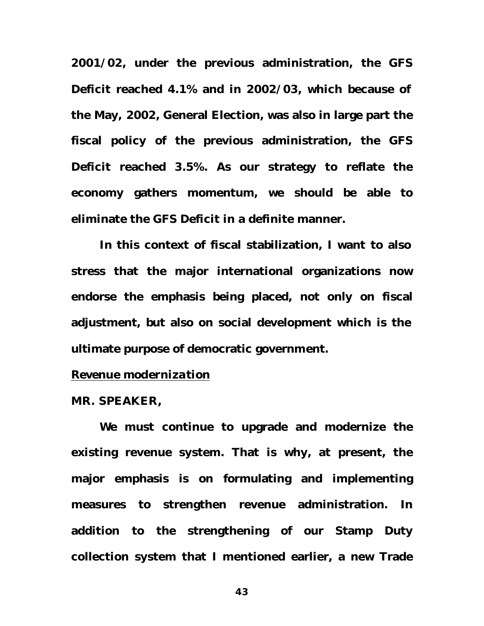**2001/02, under the previous administration, the GFS Deficit reached 4.1% and in 2002/03, which because of the May, 2002, General Election, was also in large part the fiscal policy of the previous administration, the GFS Deficit reached 3.5%. As our strategy to reflate the economy gathers momentum, we should be able to eliminate the GFS Deficit in a definite manner.**

**In this context of fiscal stabilization, I want to also stress that the major international organizations now endorse the emphasis being placed, not only on fiscal adjustment, but also on social development which is the ultimate purpose of democratic government.** 

# *Revenue modernization*

#### **MR. SPEAKER,**

**We must continue to upgrade and modernize the existing revenue system. That is why, at present, the major emphasis is on formulating and implementing measures to strengthen revenue administration. In addition to the strengthening of our Stamp Duty collection system that I mentioned earlier, a new Trade**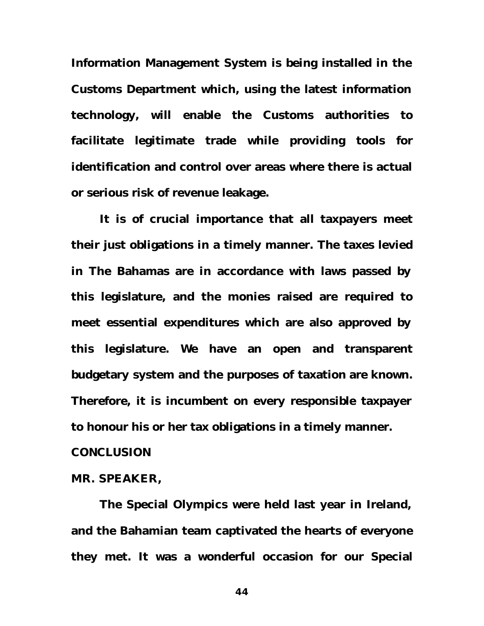**Information Management System is being installed in the Customs Department which, using the latest information technology, will enable the Customs authorities to facilitate legitimate trade while providing tools for identification and control over areas where there is actual or serious risk of revenue leakage.**

**It is of crucial importance that all taxpayers meet their just obligations in a timely manner. The taxes levied in The Bahamas are in accordance with laws passed by this legislature, and the monies raised are required to meet essential expenditures which are also approved by this legislature. We have an open and transparent budgetary system and the purposes of taxation are known. Therefore, it is incumbent on every responsible taxpayer to honour his or her tax obligations in a timely manner. CONCLUSION**

#### **MR. SPEAKER,**

**The Special Olympics were held last year in Ireland, and the Bahamian team captivated the hearts of everyone they met. It was a wonderful occasion for our Special**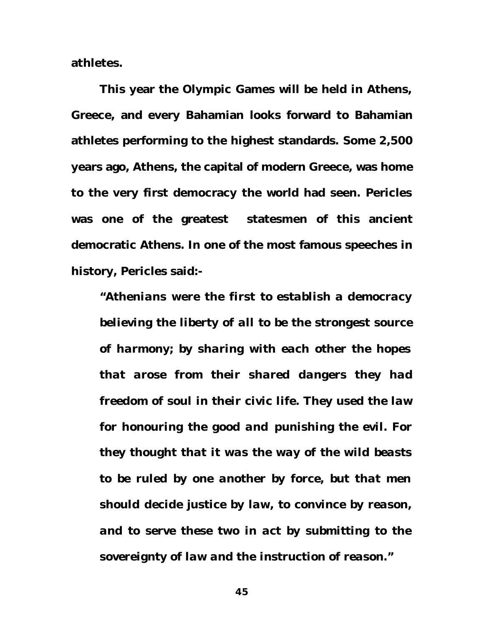**athletes.**

**This year the Olympic Games will be held in Athens, Greece, and every Bahamian looks forward to Bahamian athletes performing to the highest standards. Some 2,500 years ago, Athens, the capital of modern Greece, was home to the very first democracy the world had seen. Pericles was one of the greatest statesmen of this ancient democratic Athens. In one of the most famous speeches in history, Pericles said:-**

*"Athenians were the first to establish a democracy believing the liberty of all to be the strongest source of harmony; by sharing with each other the hopes that arose from their shared dangers they had freedom of soul in their civic life. They used the law for honouring the good and punishing the evil. For they thought that it was the way of the wild beasts to be ruled by one another by force, but that men should decide justice by law, to convince by reason, and to serve these two in act by submitting to the sovereignty of law and the instruction of reason."*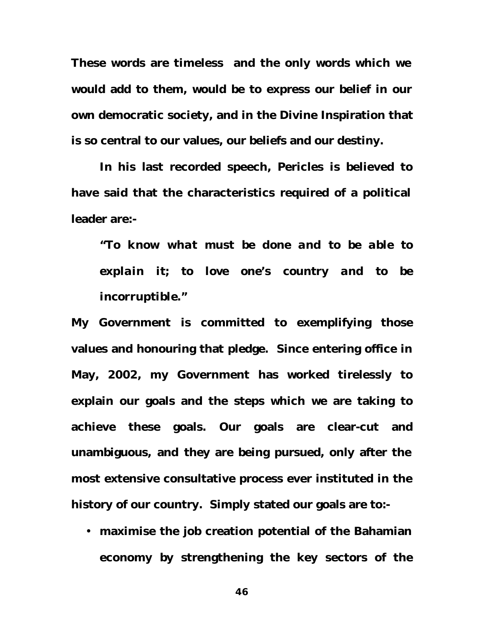**These words are timeless and the only words which we would add to them, would be to express our belief in our own democratic society, and in the Divine Inspiration that is so central to our values, our beliefs and our destiny.** 

**In his last recorded speech, Pericles is believed to have said that the characteristics required of a political leader are:-**

*"To know what must be done and to be able to explain it; to love one's country and to be incorruptible."*

**My Government is committed to exemplifying those values and honouring that pledge. Since entering office in May, 2002, my Government has worked tirelessly to explain our goals and the steps which we are taking to achieve these goals. Our goals are clear-cut and unambiguous, and they are being pursued, only after the most extensive consultative process ever instituted in the history of our country. Simply stated our goals are to:-**

• **maximise the job creation potential of the Bahamian economy by strengthening the key sectors of the**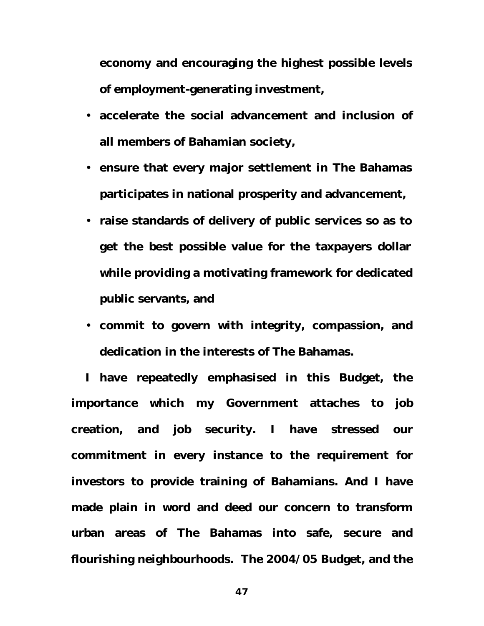**economy and encouraging the highest possible levels of employment-generating investment,** 

- **accelerate the social advancement and inclusion of all members of Bahamian society,**
- **ensure that every major settlement in The Bahamas participates in national prosperity and advancement,**
- **raise standards of delivery of public services so as to get the best possible value for the taxpayers dollar while providing a motivating framework for dedicated public servants, and**
- **commit to govern with integrity, compassion, and dedication in the interests of The Bahamas.**

**I have repeatedly emphasised in this Budget, the importance which my Government attaches to job creation, and job security. I have stressed our commitment in every instance to the requirement for investors to provide training of Bahamians. And I have made plain in word and deed our concern to transform urban areas of The Bahamas into safe, secure and flourishing neighbourhoods. The 2004/05 Budget, and the**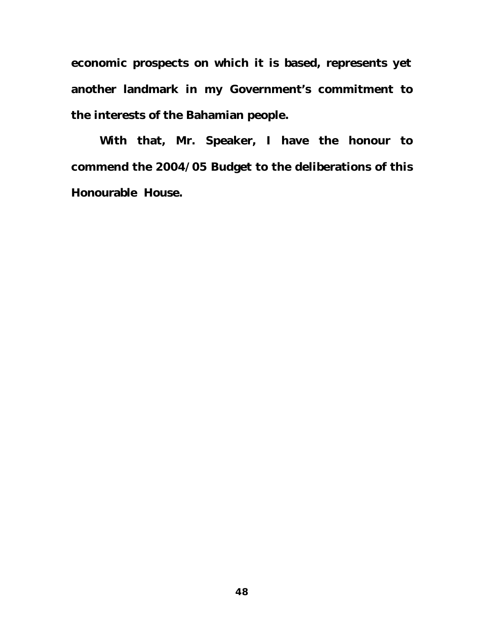**economic prospects on which it is based, represents yet another landmark in my Government's commitment to the interests of the Bahamian people.** 

**With that, Mr. Speaker, I have the honour to commend the 2004/05 Budget to the deliberations of this Honourable House.**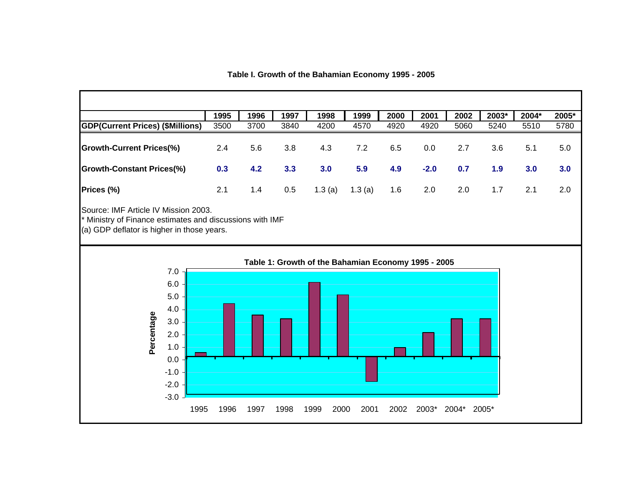**Table I. Growth of the Bahamian Economy 1995 - 2005**

|                                                                                                                                                | 1995 | 1996 | 1997 | 1998   | 1999                                                | 2000 | 2001   | 2002  | 2003* | 2004* | 2005* |
|------------------------------------------------------------------------------------------------------------------------------------------------|------|------|------|--------|-----------------------------------------------------|------|--------|-------|-------|-------|-------|
| <b>GDP(Current Prices) (\$Millions)</b>                                                                                                        | 3500 | 3700 | 3840 | 4200   | 4570                                                | 4920 | 4920   | 5060  | 5240  | 5510  | 5780  |
| <b>Growth-Current Prices(%)</b>                                                                                                                | 2.4  | 5.6  | 3.8  | 4.3    | 7.2                                                 | 6.5  | 0.0    | 2.7   | 3.6   | 5.1   | 5.0   |
| <b>Growth-Constant Prices(%)</b>                                                                                                               | 0.3  | 4.2  | 3.3  | 3.0    | 5.9                                                 | 4.9  | $-2.0$ | 0.7   | 1.9   | 3.0   | 3.0   |
| Prices (%)                                                                                                                                     | 2.1  | 1.4  | 0.5  | 1.3(a) | 1.3(a)                                              | 1.6  | 2.0    | 2.0   | 1.7   | 2.1   | 2.0   |
| Source: IMF Article IV Mission 2003.<br>* Ministry of Finance estimates and discussions with IMF<br>(a) GDP deflator is higher in those years. |      |      |      |        |                                                     |      |        |       |       |       |       |
|                                                                                                                                                |      |      |      |        | Table 1: Growth of the Bahamian Economy 1995 - 2005 |      |        |       |       |       |       |
| 7.0<br>6.0<br>5.0<br>4.0<br>Percentage<br>3.0<br>2.0<br>$1.0$<br>0.0<br>$-1.0$<br>$-2.0$                                                       |      |      |      |        |                                                     |      |        |       |       |       |       |
| $-3.0$<br>1995                                                                                                                                 | 1996 | 1997 | 1998 | 1999   | 2001<br>2000                                        | 2002 | 2003*  | 2004* | 2005* |       |       |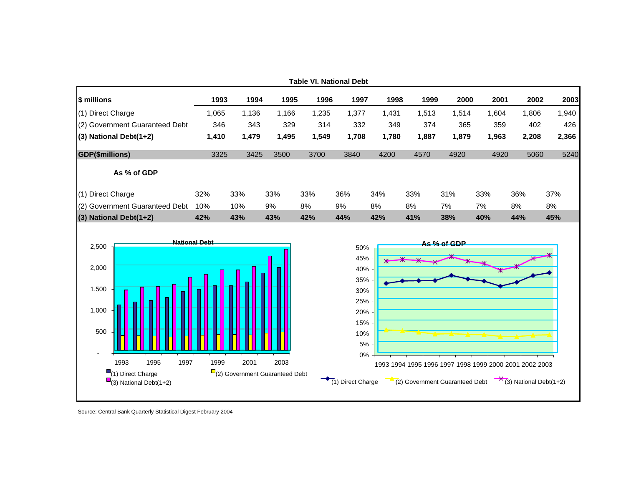

Source: Central Bank Quarterly Statistical Digest February 2004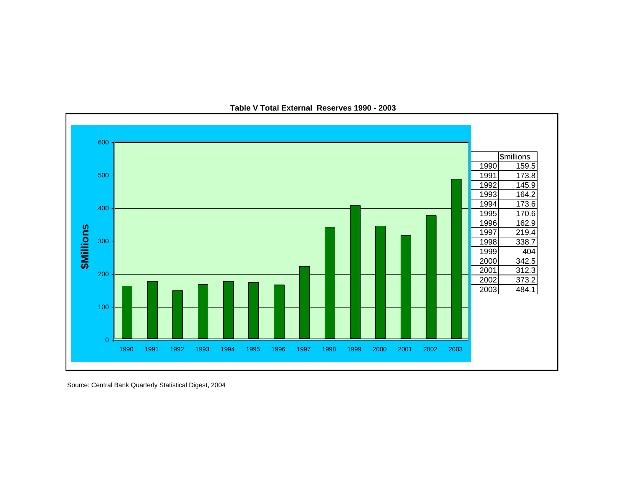

**Table V Total External Reserves 1990 - 2003**

Source: Central Bank Quarterly Statistical Digest, 2004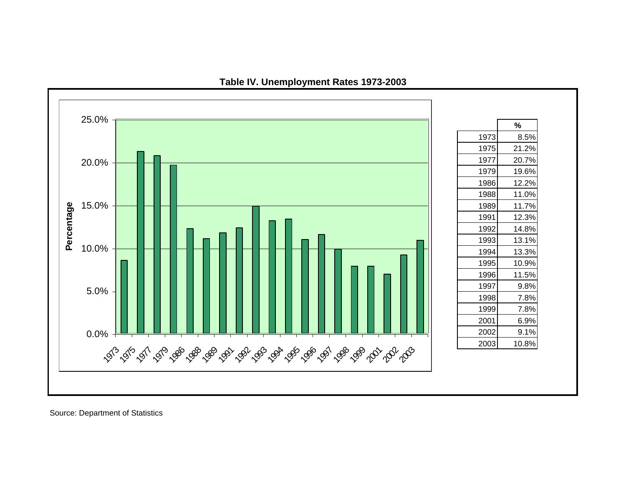

### **Table IV. Unemployment Rates 1973-2003**

Source: Department of Statistics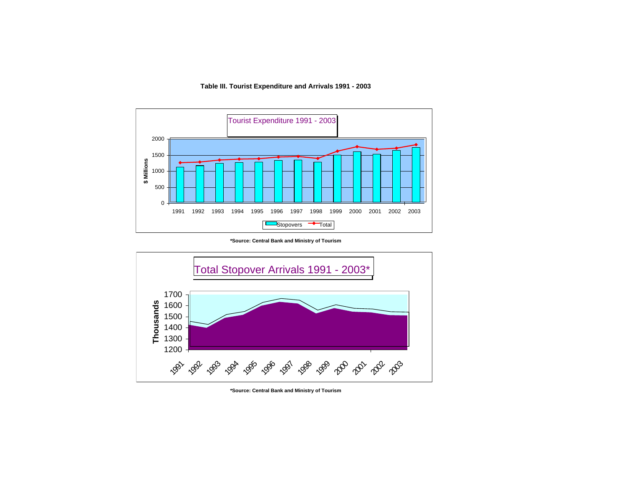#### **Table III. Tourist Expenditure and Arrivals 1991 - 2003**



**\*Source: Central Bank and Ministry of Tourism**



**\*Source: Central Bank and Ministry of Tourism**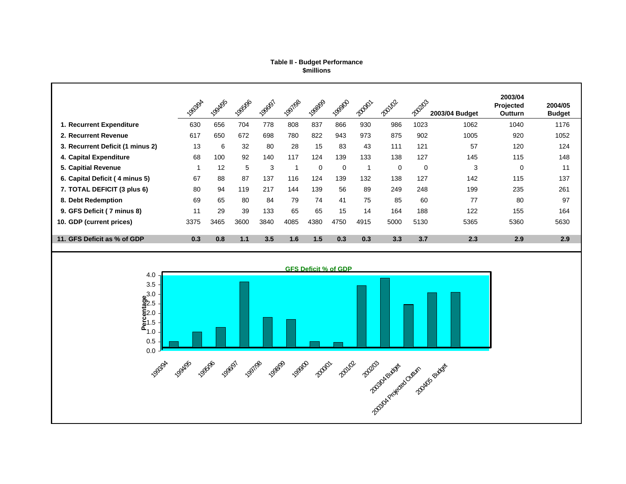#### **\$millions Table II - Budget Performance**

|                                  | 1953/94                 | <b>LOOAlgs</b> | 1966 <sub>06</sub> | 1996/ST | 1951/98 | 198809   | <b>LOBIO</b> | <b>Road</b> | <b>Royloz</b> | 20203 | 2003/04 Budget | 2003/04<br>Projected<br>Outturn | 2004/05<br><b>Budget</b> |
|----------------------------------|-------------------------|----------------|--------------------|---------|---------|----------|--------------|-------------|---------------|-------|----------------|---------------------------------|--------------------------|
| 1. Recurrent Expenditure         | 630                     | 656            | 704                | 778     | 808     | 837      | 866          | 930         | 986           | 1023  | 1062           | 1040                            | 1176                     |
| 2. Recurrent Revenue             | 617                     | 650            | 672                | 698     | 780     | 822      | 943          | 973         | 875           | 902   | 1005           | 920                             | 1052                     |
| 3. Recurrent Deficit (1 minus 2) | 13                      | 6              | 32                 | 80      | 28      | 15       | 83           | 43          | 111           | 121   | 57             | 120                             | 124                      |
| 4. Capital Expenditure           | 68                      | 100            | 92                 | 140     | 117     | 124      | 139          | 133         | 138           | 127   | 145            | 115                             | 148                      |
| 5. Capitial Revenue              | $\overline{\mathbf{A}}$ | 12             | 5                  | 3       |         | $\Omega$ | $\Omega$     | и           | 0             | 0     | 3              | 0                               | 11                       |
| 6. Capital Deficit (4 minus 5)   | 67                      | 88             | 87                 | 137     | 116     | 124      | 139          | 132         | 138           | 127   | 142            | 115                             | 137                      |
| 7. TOTAL DEFICIT (3 plus 6)      | 80                      | 94             | 119                | 217     | 144     | 139      | 56           | 89          | 249           | 248   | 199            | 235                             | 261                      |
| 8. Debt Redemption               | 69                      | 65             | 80                 | 84      | 79      | 74       | 41           | 75          | 85            | 60    | 77             | 80                              | 97                       |
| 9. GFS Deficit (7 minus 8)       | 11                      | 29             | 39                 | 133     | 65      | 65       | 15           | 14          | 164           | 188   | 122            | 155                             | 164                      |
| 10. GDP (current prices)         | 3375                    | 3465           | 3600               | 3840    | 4085    | 4380     | 4750         | 4915        | 5000          | 5130  | 5365           | 5360                            | 5630                     |
| 11. GFS Deficit as % of GDP      | 0.3                     | 0.8            | 1.1                | 3.5     | 1.6     | 1.5      | 0.3          | 0.3         | 3.3           | 3.7   | 2.3            | 2.9                             | 2.9                      |